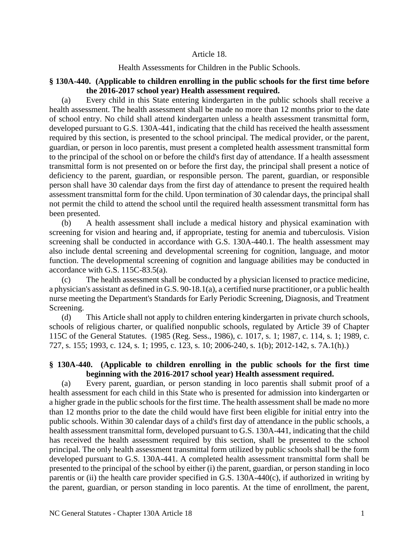#### Article 18.

#### Health Assessments for Children in the Public Schools.

## **§ 130A-440. (Applicable to children enrolling in the public schools for the first time before the 2016-2017 school year) Health assessment required.**

(a) Every child in this State entering kindergarten in the public schools shall receive a health assessment. The health assessment shall be made no more than 12 months prior to the date of school entry. No child shall attend kindergarten unless a health assessment transmittal form, developed pursuant to G.S. 130A-441, indicating that the child has received the health assessment required by this section, is presented to the school principal. The medical provider, or the parent, guardian, or person in loco parentis, must present a completed health assessment transmittal form to the principal of the school on or before the child's first day of attendance. If a health assessment transmittal form is not presented on or before the first day, the principal shall present a notice of deficiency to the parent, guardian, or responsible person. The parent, guardian, or responsible person shall have 30 calendar days from the first day of attendance to present the required health assessment transmittal form for the child. Upon termination of 30 calendar days, the principal shall not permit the child to attend the school until the required health assessment transmittal form has been presented.

(b) A health assessment shall include a medical history and physical examination with screening for vision and hearing and, if appropriate, testing for anemia and tuberculosis. Vision screening shall be conducted in accordance with G.S. 130A-440.1. The health assessment may also include dental screening and developmental screening for cognition, language, and motor function. The developmental screening of cognition and language abilities may be conducted in accordance with G.S. 115C-83.5(a).

(c) The health assessment shall be conducted by a physician licensed to practice medicine, a physician's assistant as defined in G.S. 90-18.1(a), a certified nurse practitioner, or a public health nurse meeting the Department's Standards for Early Periodic Screening, Diagnosis, and Treatment Screening.

(d) This Article shall not apply to children entering kindergarten in private church schools, schools of religious charter, or qualified nonpublic schools, regulated by Article 39 of Chapter 115C of the General Statutes. (1985 (Reg. Sess., 1986), c. 1017, s. 1; 1987, c. 114, s. 1; 1989, c. 727, s. 155; 1993, c. 124, s. 1; 1995, c. 123, s. 10; 2006-240, s. 1(b); 2012-142, s. 7A.1(h).)

# **§ 130A-440. (Applicable to children enrolling in the public schools for the first time beginning with the 2016-2017 school year) Health assessment required.**

(a) Every parent, guardian, or person standing in loco parentis shall submit proof of a health assessment for each child in this State who is presented for admission into kindergarten or a higher grade in the public schools for the first time. The health assessment shall be made no more than 12 months prior to the date the child would have first been eligible for initial entry into the public schools. Within 30 calendar days of a child's first day of attendance in the public schools, a health assessment transmittal form, developed pursuant to G.S. 130A-441, indicating that the child has received the health assessment required by this section, shall be presented to the school principal. The only health assessment transmittal form utilized by public schools shall be the form developed pursuant to G.S. 130A-441. A completed health assessment transmittal form shall be presented to the principal of the school by either (i) the parent, guardian, or person standing in loco parentis or (ii) the health care provider specified in G.S. 130A-440(c), if authorized in writing by the parent, guardian, or person standing in loco parentis. At the time of enrollment, the parent,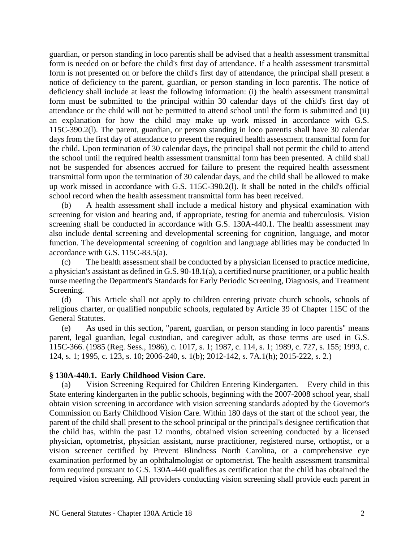guardian, or person standing in loco parentis shall be advised that a health assessment transmittal form is needed on or before the child's first day of attendance. If a health assessment transmittal form is not presented on or before the child's first day of attendance, the principal shall present a notice of deficiency to the parent, guardian, or person standing in loco parentis. The notice of deficiency shall include at least the following information: (i) the health assessment transmittal form must be submitted to the principal within 30 calendar days of the child's first day of attendance or the child will not be permitted to attend school until the form is submitted and (ii) an explanation for how the child may make up work missed in accordance with G.S. 115C-390.2(l). The parent, guardian, or person standing in loco parentis shall have 30 calendar days from the first day of attendance to present the required health assessment transmittal form for the child. Upon termination of 30 calendar days, the principal shall not permit the child to attend the school until the required health assessment transmittal form has been presented. A child shall not be suspended for absences accrued for failure to present the required health assessment transmittal form upon the termination of 30 calendar days, and the child shall be allowed to make up work missed in accordance with G.S. 115C-390.2(l). It shall be noted in the child's official school record when the health assessment transmittal form has been received.

(b) A health assessment shall include a medical history and physical examination with screening for vision and hearing and, if appropriate, testing for anemia and tuberculosis. Vision screening shall be conducted in accordance with G.S. 130A-440.1. The health assessment may also include dental screening and developmental screening for cognition, language, and motor function. The developmental screening of cognition and language abilities may be conducted in accordance with G.S. 115C-83.5(a).

(c) The health assessment shall be conducted by a physician licensed to practice medicine, a physician's assistant as defined in G.S. 90-18.1(a), a certified nurse practitioner, or a public health nurse meeting the Department's Standards for Early Periodic Screening, Diagnosis, and Treatment Screening.

(d) This Article shall not apply to children entering private church schools, schools of religious charter, or qualified nonpublic schools, regulated by Article 39 of Chapter 115C of the General Statutes.

(e) As used in this section, "parent, guardian, or person standing in loco parentis" means parent, legal guardian, legal custodian, and caregiver adult, as those terms are used in G.S. 115C-366. (1985 (Reg. Sess., 1986), c. 1017, s. 1; 1987, c. 114, s. 1; 1989, c. 727, s. 155; 1993, c. 124, s. 1; 1995, c. 123, s. 10; 2006-240, s. 1(b); 2012-142, s. 7A.1(h); 2015-222, s. 2.)

### **§ 130A-440.1. Early Childhood Vision Care.**

(a) Vision Screening Required for Children Entering Kindergarten. – Every child in this State entering kindergarten in the public schools, beginning with the 2007-2008 school year, shall obtain vision screening in accordance with vision screening standards adopted by the Governor's Commission on Early Childhood Vision Care. Within 180 days of the start of the school year, the parent of the child shall present to the school principal or the principal's designee certification that the child has, within the past 12 months, obtained vision screening conducted by a licensed physician, optometrist, physician assistant, nurse practitioner, registered nurse, orthoptist, or a vision screener certified by Prevent Blindness North Carolina, or a comprehensive eye examination performed by an ophthalmologist or optometrist. The health assessment transmittal form required pursuant to G.S. 130A-440 qualifies as certification that the child has obtained the required vision screening. All providers conducting vision screening shall provide each parent in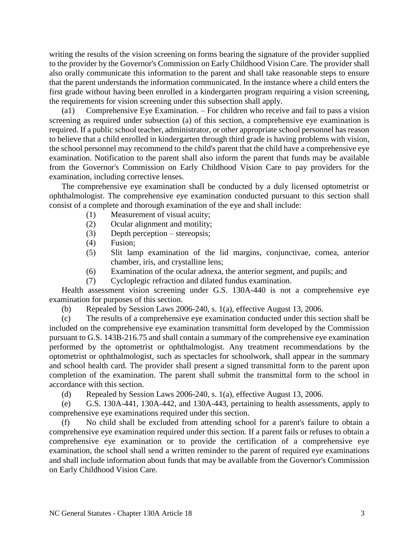writing the results of the vision screening on forms bearing the signature of the provider supplied to the provider by the Governor's Commission on Early Childhood Vision Care. The provider shall also orally communicate this information to the parent and shall take reasonable steps to ensure that the parent understands the information communicated. In the instance where a child enters the first grade without having been enrolled in a kindergarten program requiring a vision screening, the requirements for vision screening under this subsection shall apply.

(a1) Comprehensive Eye Examination. – For children who receive and fail to pass a vision screening as required under subsection (a) of this section, a comprehensive eye examination is required. If a public school teacher, administrator, or other appropriate school personnel has reason to believe that a child enrolled in kindergarten through third grade is having problems with vision, the school personnel may recommend to the child's parent that the child have a comprehensive eye examination. Notification to the parent shall also inform the parent that funds may be available from the Governor's Commission on Early Childhood Vision Care to pay providers for the examination, including corrective lenses.

The comprehensive eye examination shall be conducted by a duly licensed optometrist or ophthalmologist. The comprehensive eye examination conducted pursuant to this section shall consist of a complete and thorough examination of the eye and shall include:

- (1) Measurement of visual acuity;
- (2) Ocular alignment and motility;
- (3) Depth perception stereopsis;
- (4) Fusion;
- (5) Slit lamp examination of the lid margins, conjunctivae, cornea, anterior chamber, iris, and crystalline lens;
- (6) Examination of the ocular adnexa, the anterior segment, and pupils; and
- (7) Cycloplegic refraction and dilated fundus examination.

Health assessment vision screening under G.S. 130A-440 is not a comprehensive eye examination for purposes of this section.

(b) Repealed by Session Laws 2006-240, s. 1(a), effective August 13, 2006.

(c) The results of a comprehensive eye examination conducted under this section shall be included on the comprehensive eye examination transmittal form developed by the Commission pursuant to G.S. 143B-216.75 and shall contain a summary of the comprehensive eye examination performed by the optometrist or ophthalmologist. Any treatment recommendations by the optometrist or ophthalmologist, such as spectacles for schoolwork, shall appear in the summary and school health card. The provider shall present a signed transmittal form to the parent upon completion of the examination. The parent shall submit the transmittal form to the school in accordance with this section.

(d) Repealed by Session Laws 2006-240, s. 1(a), effective August 13, 2006.

(e) G.S. 130A-441, 130A-442, and 130A-443, pertaining to health assessments, apply to comprehensive eye examinations required under this section.

(f) No child shall be excluded from attending school for a parent's failure to obtain a comprehensive eye examination required under this section. If a parent fails or refuses to obtain a comprehensive eye examination or to provide the certification of a comprehensive eye examination, the school shall send a written reminder to the parent of required eye examinations and shall include information about funds that may be available from the Governor's Commission on Early Childhood Vision Care.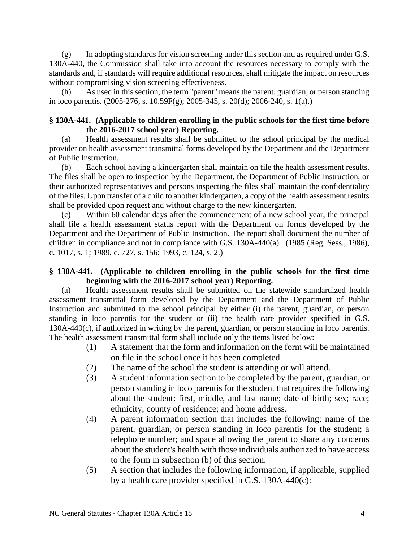$(g)$  In adopting standards for vision screening under this section and as required under G.S. 130A-440, the Commission shall take into account the resources necessary to comply with the standards and, if standards will require additional resources, shall mitigate the impact on resources without compromising vision screening effectiveness.

(h) As used in this section, the term "parent" means the parent, guardian, or person standing in loco parentis. (2005-276, s. 10.59F(g); 2005-345, s. 20(d); 2006-240, s. 1(a).)

## **§ 130A-441. (Applicable to children enrolling in the public schools for the first time before the 2016-2017 school year) Reporting.**

(a) Health assessment results shall be submitted to the school principal by the medical provider on health assessment transmittal forms developed by the Department and the Department of Public Instruction.

(b) Each school having a kindergarten shall maintain on file the health assessment results. The files shall be open to inspection by the Department, the Department of Public Instruction, or their authorized representatives and persons inspecting the files shall maintain the confidentiality of the files. Upon transfer of a child to another kindergarten, a copy of the health assessment results shall be provided upon request and without charge to the new kindergarten.

(c) Within 60 calendar days after the commencement of a new school year, the principal shall file a health assessment status report with the Department on forms developed by the Department and the Department of Public Instruction. The report shall document the number of children in compliance and not in compliance with G.S. 130A-440(a). (1985 (Reg. Sess., 1986), c. 1017, s. 1; 1989, c. 727, s. 156; 1993, c. 124, s. 2.)

# **§ 130A-441. (Applicable to children enrolling in the public schools for the first time beginning with the 2016-2017 school year) Reporting.**

(a) Health assessment results shall be submitted on the statewide standardized health assessment transmittal form developed by the Department and the Department of Public Instruction and submitted to the school principal by either (i) the parent, guardian, or person standing in loco parentis for the student or (ii) the health care provider specified in G.S. 130A-440(c), if authorized in writing by the parent, guardian, or person standing in loco parentis. The health assessment transmittal form shall include only the items listed below:

- (1) A statement that the form and information on the form will be maintained on file in the school once it has been completed.
- (2) The name of the school the student is attending or will attend.
- (3) A student information section to be completed by the parent, guardian, or person standing in loco parentis for the student that requires the following about the student: first, middle, and last name; date of birth; sex; race; ethnicity; county of residence; and home address.
- (4) A parent information section that includes the following: name of the parent, guardian, or person standing in loco parentis for the student; a telephone number; and space allowing the parent to share any concerns about the student's health with those individuals authorized to have access to the form in subsection (b) of this section.
- (5) A section that includes the following information, if applicable, supplied by a health care provider specified in G.S. 130A-440(c):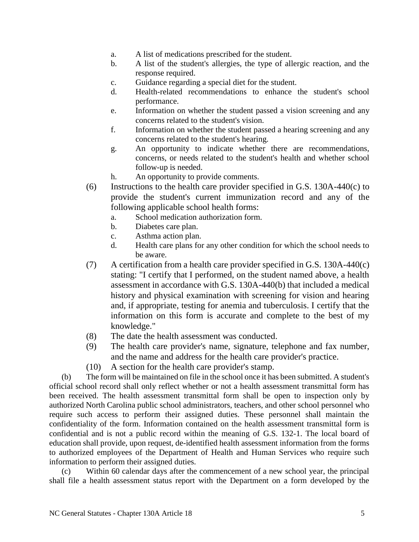- a. A list of medications prescribed for the student.
- b. A list of the student's allergies, the type of allergic reaction, and the response required.
- c. Guidance regarding a special diet for the student.
- d. Health-related recommendations to enhance the student's school performance.
- e. Information on whether the student passed a vision screening and any concerns related to the student's vision.
- f. Information on whether the student passed a hearing screening and any concerns related to the student's hearing.
- g. An opportunity to indicate whether there are recommendations, concerns, or needs related to the student's health and whether school follow-up is needed.
- h. An opportunity to provide comments.
- (6) Instructions to the health care provider specified in G.S. 130A-440(c) to provide the student's current immunization record and any of the following applicable school health forms:
	- a. School medication authorization form.
	- b. Diabetes care plan.
	- c. Asthma action plan.
	- d. Health care plans for any other condition for which the school needs to be aware.
- (7) A certification from a health care provider specified in G.S. 130A-440(c) stating: "I certify that I performed, on the student named above, a health assessment in accordance with G.S. 130A-440(b) that included a medical history and physical examination with screening for vision and hearing and, if appropriate, testing for anemia and tuberculosis. I certify that the information on this form is accurate and complete to the best of my knowledge."
- (8) The date the health assessment was conducted.
- (9) The health care provider's name, signature, telephone and fax number, and the name and address for the health care provider's practice.
- (10) A section for the health care provider's stamp.

(b) The form will be maintained on file in the school once it has been submitted. A student's official school record shall only reflect whether or not a health assessment transmittal form has been received. The health assessment transmittal form shall be open to inspection only by authorized North Carolina public school administrators, teachers, and other school personnel who require such access to perform their assigned duties. These personnel shall maintain the confidentiality of the form. Information contained on the health assessment transmittal form is confidential and is not a public record within the meaning of G.S. 132-1. The local board of education shall provide, upon request, de-identified health assessment information from the forms to authorized employees of the Department of Health and Human Services who require such information to perform their assigned duties.

(c) Within 60 calendar days after the commencement of a new school year, the principal shall file a health assessment status report with the Department on a form developed by the